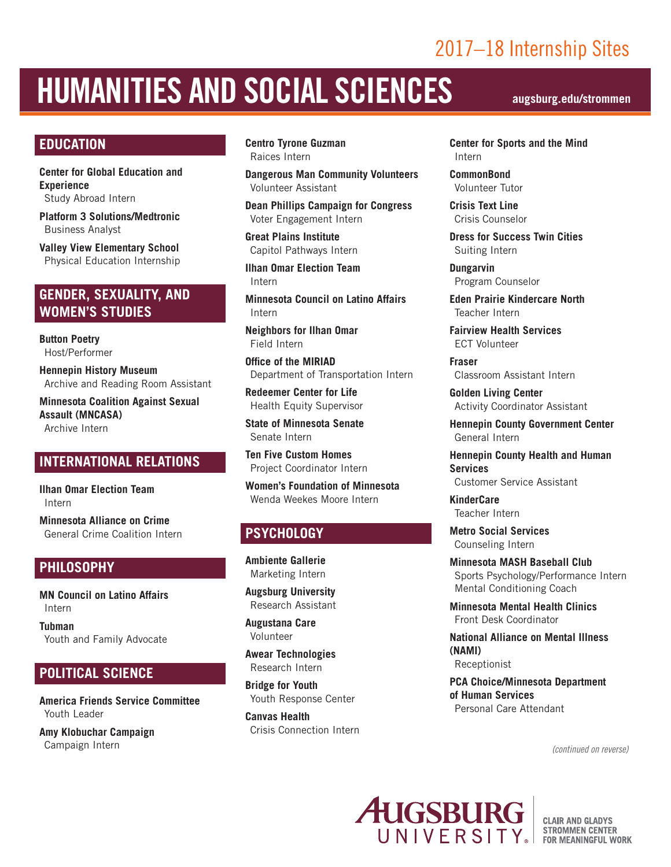## 2017–18 Internship Sites

# HUMANITIES AND SOCIAL SCIENCES **augsburg.edu/strommen**

#### **EDUCATION**

**Center for Global Education and Experience** Study Abroad Intern

**Platform 3 Solutions/Medtronic** Business Analyst

**Valley View Elementary School** Physical Education Internship

#### **GENDER, SEXUALITY, AND WOMEN'S STUDIES**

**Button Poetry** Host/Performer

**Hennepin History Museum** Archive and Reading Room Assistant

**Minnesota Coalition Against Sexual Assault (MNCASA)** Archive Intern

#### **INTERNATIONAL RELATIONS**

**Ilhan Omar Election Team** Intern

**Minnesota Alliance on Crime** General Crime Coalition Intern

#### **PHILOSOPHY**

**MN Council on Latino Affairs** Intern

**Tubman** Youth and Family Advocate

#### **POLITICAL SCIENCE**

**America Friends Service Committee** Youth Leader

**Amy Klobuchar Campaign** Campaign Intern

**Centro Tyrone Guzman** Raices Intern

**Dangerous Man Community Volunteers** Volunteer Assistant

**Dean Phillips Campaign for Congress** Voter Engagement Intern

**Great Plains Institute** Capitol Pathways Intern

**Ilhan Omar Election Team** Intern

**Minnesota Council on Latino Affairs** Intern

**Neighbors for Ilhan Omar** Field Intern

**Office of the MIRIAD** Department of Transportation Intern

**Redeemer Center for Life** Health Equity Supervisor

**State of Minnesota Senate** Senate Intern

**Ten Five Custom Homes** Project Coordinator Intern

**Women's Foundation of Minnesota** Wenda Weekes Moore Intern

#### **PSYCHOLOGY**

**Ambiente Gallerie** Marketing Intern

**Augsburg University** Research Assistant

**Augustana Care** Volunteer

**Awear Technologies** Research Intern

**Bridge for Youth** Youth Response Center

**Canvas Health** Crisis Connection Intern

**Center for Sports and the Mind** Intern

**CommonBond** Volunteer Tutor

**Crisis Text Line** Crisis Counselor

**Dress for Success Twin Cities** Suiting Intern

**Dungarvin** Program Counselor

**Eden Prairie Kindercare North** Teacher Intern

**Fairview Health Services** ECT Volunteer

**Fraser** Classroom Assistant Intern

**Golden Living Center** Activity Coordinator Assistant

**Hennepin County Government Center** General Intern

**Hennepin County Health and Human Services**

Customer Service Assistant

**KinderCare** Teacher Intern

**Metro Social Services** Counseling Intern

**Minnesota MASH Baseball Club** Sports Psychology/Performance Intern Mental Conditioning Coach

**Minnesota Mental Health Clinics** Front Desk Coordinator

**National Alliance on Mental Illness (NAMI)**

Receptionist

**PCA Choice/Minnesota Department of Human Services** Personal Care Attendant

*(continued on reverse)*



**CLAIR AND GLADYS** STROMMEN CENTER<br>FOR MEANINGFUL WORK